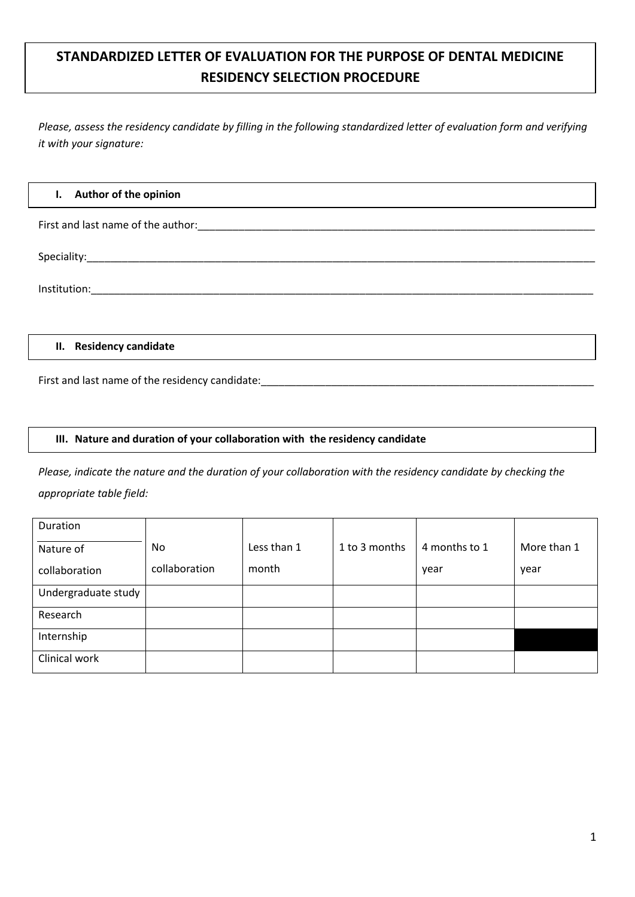# **STANDARDIZED LETTER OF EVALUATION FOR THE PURPOSE OF DENTAL MEDICINE RESIDENCY SELECTION PROCEDURE**

*Please, assess the residency candidate by filling in the following standardized letter of evaluation form and verifying it with your signature:*

#### **I. Author of the opinion**

First and last name of the author:\_\_\_\_\_\_\_\_\_\_\_\_\_\_\_\_\_\_\_\_\_\_\_\_\_\_\_\_\_\_\_\_\_\_\_\_\_\_\_\_\_\_\_\_\_\_\_\_\_\_\_\_\_\_\_\_\_\_\_\_\_\_\_\_\_\_\_\_

Speciality:\_\_\_\_\_\_\_\_\_\_\_\_\_\_\_\_\_\_\_\_\_\_\_\_\_\_\_\_\_\_\_\_\_\_\_\_\_\_\_\_\_\_\_\_\_\_\_\_\_\_\_\_\_\_\_\_\_\_\_\_\_\_\_\_\_\_\_\_\_\_\_\_\_\_\_\_\_\_\_\_\_\_\_\_\_\_\_

Institution:\_\_\_\_\_\_\_\_\_\_\_\_\_\_\_\_\_\_\_\_\_\_\_\_\_\_\_\_\_\_\_\_\_\_\_\_\_\_\_\_\_\_\_\_\_\_\_\_\_\_\_\_\_\_\_\_\_\_\_\_\_\_\_\_\_\_\_\_\_\_\_\_\_\_\_\_\_\_\_\_\_\_\_\_\_\_

#### **II. Residency candidate**

First and last name of the residency candidate:

#### **III. Nature and duration of your collaboration with the residency candidate**

*Please, indicate the nature and the duration of your collaboration with the residency candidate by checking the appropriate table field:*

| Duration            |               |             |               |               |             |
|---------------------|---------------|-------------|---------------|---------------|-------------|
| Nature of           | No            | Less than 1 | 1 to 3 months | 4 months to 1 | More than 1 |
| collaboration       | collaboration | month       |               | year          | year        |
| Undergraduate study |               |             |               |               |             |
| Research            |               |             |               |               |             |
| Internship          |               |             |               |               |             |
| Clinical work       |               |             |               |               |             |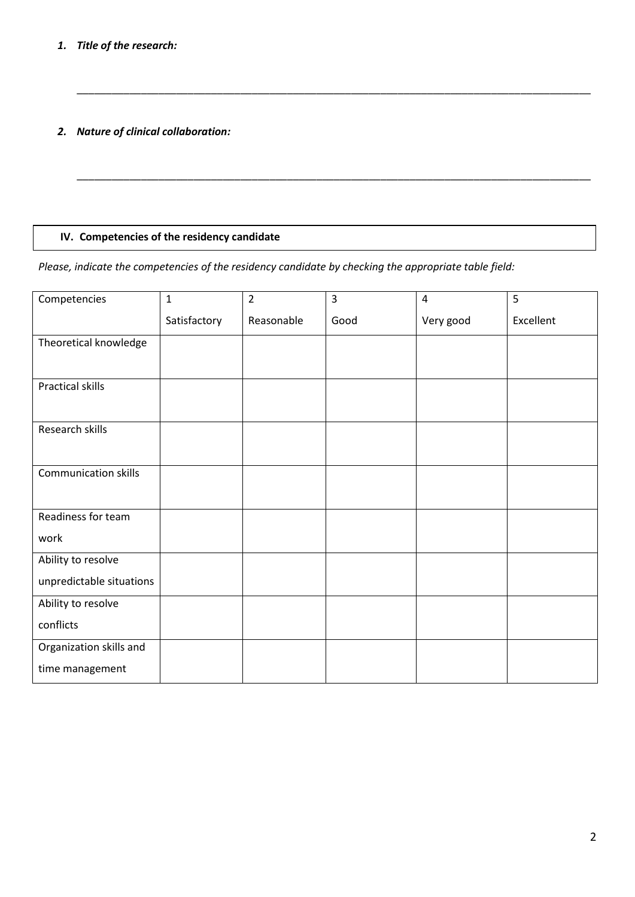## *1. Title of the research:*

*2. Nature of clinical collaboration:*

## **IV. Competencies of the residency candidate**

*Please, indicate the competencies of the residency candidate by checking the appropriate table field:*

\_\_\_\_\_\_\_\_\_\_\_\_\_\_\_\_\_\_\_\_\_\_\_\_\_\_\_\_\_\_\_\_\_\_\_\_\_\_\_\_\_\_\_\_\_\_\_\_\_\_\_\_\_\_\_\_\_\_\_\_\_\_\_\_\_\_\_\_\_\_\_\_\_\_\_\_\_\_\_\_\_\_\_\_\_\_\_\_

\_\_\_\_\_\_\_\_\_\_\_\_\_\_\_\_\_\_\_\_\_\_\_\_\_\_\_\_\_\_\_\_\_\_\_\_\_\_\_\_\_\_\_\_\_\_\_\_\_\_\_\_\_\_\_\_\_\_\_\_\_\_\_\_\_\_\_\_\_\_\_\_\_\_\_\_\_\_\_\_\_\_\_\_\_\_\_\_

| Competencies                | $\mathbf{1}$ | $\overline{2}$ | 3    | $\overline{4}$ | 5         |
|-----------------------------|--------------|----------------|------|----------------|-----------|
|                             | Satisfactory | Reasonable     | Good | Very good      | Excellent |
| Theoretical knowledge       |              |                |      |                |           |
|                             |              |                |      |                |           |
| <b>Practical skills</b>     |              |                |      |                |           |
| Research skills             |              |                |      |                |           |
| <b>Communication skills</b> |              |                |      |                |           |
| Readiness for team          |              |                |      |                |           |
| work                        |              |                |      |                |           |
| Ability to resolve          |              |                |      |                |           |
| unpredictable situations    |              |                |      |                |           |
| Ability to resolve          |              |                |      |                |           |
| conflicts                   |              |                |      |                |           |
| Organization skills and     |              |                |      |                |           |
| time management             |              |                |      |                |           |